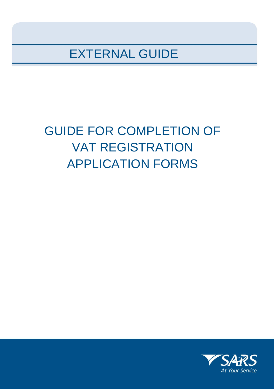EXTERNAL GUIDE

# GUIDE FOR COMPLETION OF VAT REGISTRATION APPLICATION FORMS

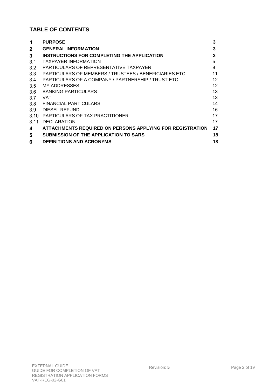# **TABLE OF CONTENTS**

| 1            | <b>PURPOSE</b>                                            | 3                 |
|--------------|-----------------------------------------------------------|-------------------|
| $\mathbf{2}$ | <b>GENERAL INFORMATION</b>                                | 3                 |
| 3            | INSTRUCTIONS FOR COMPLETING THE APPLICATION               | 3                 |
| 3.1          | <b>TAXPAYER INFORMATION</b>                               | 5                 |
| 3.2          | PARTICULARS OF REPRESENTATIVE TAXPAYER                    | 9                 |
| 3.3          | PARTICULARS OF MEMBERS / TRUSTEES / BENEFICIARIES ETC     | 11                |
| 3.4          | PARTICULARS OF A COMPANY / PARTNERSHIP / TRUST ETC        | $12 \overline{ }$ |
| 3.5          | MY ADDRESSES                                              | 12                |
| 3.6          | <b>BANKING PARTICULARS</b>                                | 13                |
| 3.7          | VAT                                                       | 13                |
| 3.8          | <b>FINANCIAL PARTICULARS</b>                              | 14                |
| 3.9          | DIESEL REFUND                                             | 16                |
| 3.10         | PARTICULARS OF TAX PRACTITIONER                           | 17                |
| 3.11         | <b>DECLARATION</b>                                        | 17                |
| 4            | ATTACHMENTS REQUIRED ON PERSONS APPLYING FOR REGISTRATION | 17                |
| 5            | <b>SUBMISSION OF THE APPLICATION TO SARS</b>              | 18                |
| 6            | <b>DEFINITIONS AND ACRONYMS</b>                           | 18                |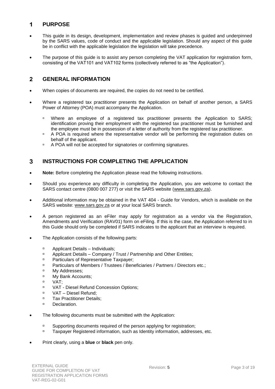#### <span id="page-2-0"></span>**PURPOSE** 1

- This guide in its design, development, implementation and review phases is guided and underpinned by the SARS values, code of conduct and the applicable legislation. Should any aspect of this guide be in conflict with the applicable legislation the legislation will take precedence.
- The purpose of this guide is to assist any person completing the VAT application for registration form, consisting of the VAT101 and VAT102 forms (collectively referred to as "the Application").

#### <span id="page-2-1"></span> $\overline{2}$ **GENERAL INFORMATION**

- When copies of documents are required, the copies do not need to be certified.
- Where a registered tax practitioner presents the Application on behalf of another person, a SARS Power of Attorney (POA) must accompany the Application.
	- Where an employee of a registered tax practitioner presents the Application to SARS; identification proving their employment with the registered tax practitioner must be furnished and the employee must be in possession of a letter of authority from the registered tax practitioner.
	- **A POA** is required where the representative vendor will be performing the registration duties on behalf of the applicant.
	- <sup>D</sup> A POA will not be accepted for signatories or confirming signatures.

#### <span id="page-2-2"></span>3 **INSTRUCTIONS FOR COMPLETING THE APPLICATION**

- **Note:** Before completing the Application please read the following instructions.
- Should you experience any difficulty in completing the Application, you are welcome to contact the SARS contact centre (0800 007 277) or visit the SARS website [\(www.sars.gov.za\)](http://www.sars.gov.za/).
- Additional information may be obtained in the VAT 404 Guide for Vendors, which is available on the SARS website: [www.sars.gov.za](http://www.sars.gov.za/) or at your local SARS branch.
- A person registered as an eFiler may apply for registration as a vendor via the Registration, Amendments and Verification (RAV01) form on eFiling. If this is the case, the Application referred to in this Guide should only be completed if SARS indicates to the applicant that an interview is required.
- The Application consists of the following parts:
	- □ Applicant Details Individuals;
	- <sup>n</sup> Applicant Details Company / Trust / Partnership and Other Entities;
	- **Particulars of Representative Taxpayer;**
	- **Particulars of Members / Trustees / Beneficiaries / Partners / Directors etc.;**
	- <sup>D</sup> My Addresses;
	- D My Bank Accounts;
	- VAT;
	- VAT Diesel Refund Concession Options;
	- □ VAT Diesel Refund;
	- **Tax Practitioner Details;**
	- <sup>D</sup> Declaration.
- The following documents must be submitted with the Application:
	- <sup>n</sup> Supporting documents required of the person applying for registration;
	- □ Taxpayer Registered information, such as Identity information, addresses, etc.
- Print clearly, using a **blue** or **black** pen only.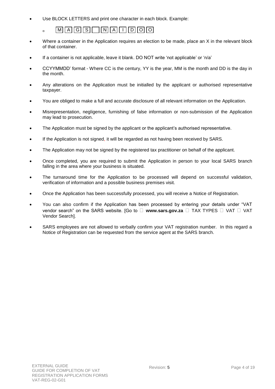Use BLOCK LETTERS and print one character in each block. Example:

# $\Box$  M A G S N N A I D O O

- Where a container in the Application requires an election to be made, place an X in the relevant block of that container.
- If a container is not applicable, leave it blank. DO NOT write 'not applicable' or 'n/a'
- CCYYMMDD' format Where CC is the century, YY is the year, MM is the month and DD is the day in the month.
- Any alterations on the Application must be initialled by the applicant or authorised representative taxpayer.
- You are obliged to make a full and accurate disclosure of all relevant information on the Application.
- Misrepresentation, negligence, furnishing of false information or non-submission of the Application may lead to prosecution.
- The Application must be signed by the applicant or the applicant's authorised representative.
- If the Application is not signed, it will be regarded as not having been received by SARS.
- The Application may not be signed by the registered tax practitioner on behalf of the applicant.
- Once completed, you are required to submit the Application in person to your local SARS branch falling in the area where your business is situated.
- The turnaround time for the Application to be processed will depend on successful validation, verification of information and a possible business premises visit.
- Once the Application has been successfully processed, you will receive a Notice of Registration.
- You can also confirm if the Application has been processed by entering your details under "VAT vendor search" on the SARS website. [Go to  $\Box$  www.sars.gov.za  $\Box$  TAX TYPES  $\Box$  VAT  $\Box$  VAT Vendor Search].
- SARS employees are not allowed to verbally confirm your VAT registration number. In this regard a Notice of Registration can be requested from the service agent at the SARS branch.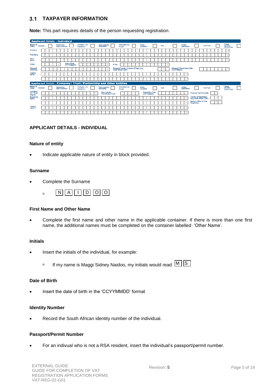#### <span id="page-4-0"></span>**TAXPAYER INFORMATION**   $3.1$

**Note:** This part requires details of the person requesting registration.

| <b>Applicant Details - Individual</b>                                       |            |  |                                |                             |                                     |  |                                         |        |                             |                                                                   |          |             |                                 |      |    |  |                                            |                                                      |                   |                |                                         |  |
|-----------------------------------------------------------------------------|------------|--|--------------------------------|-----------------------------|-------------------------------------|--|-----------------------------------------|--------|-----------------------------|-------------------------------------------------------------------|----------|-------------|---------------------------------|------|----|--|--------------------------------------------|------------------------------------------------------|-------------------|----------------|-----------------------------------------|--|
| Nature Of<br>Entity                                                         | Individual |  | Partnership<br>Body of persons |                             | Company / CC /<br>Shareblock        |  | Public authority<br>Municipality        |        | Association not<br>for gain |                                                                   | Estate / | Liquidation |                                 | Club |    |  | Welfare<br>organization                    |                                                      | <b>Trust Fund</b> |                | Foreign<br>electronic<br>service entity |  |
| Sumame                                                                      |            |  |                                |                             |                                     |  |                                         |        |                             |                                                                   |          |             |                                 |      |    |  |                                            |                                                      |                   |                | 56                                      |  |
| <b>First Name</b>                                                           |            |  |                                |                             |                                     |  |                                         |        |                             |                                                                   |          |             |                                 |      |    |  |                                            |                                                      |                   |                | 50                                      |  |
| Other<br>Name                                                               |            |  |                                |                             |                                     |  |                                         |        |                             |                                                                   |          |             |                                 |      |    |  |                                            |                                                      |                   |                | 50                                      |  |
| Initials                                                                    |            |  |                                | Date of Birth<br>(CCYYMMDD) |                                     |  |                                         | ID No. |                             |                                                                   |          |             |                                 |      | 13 |  |                                            |                                                      |                   |                |                                         |  |
| Passport<br>Permit No                                                       |            |  |                                |                             |                                     |  |                                         |        |                             | Passport Country / Country of Origin (e.g.<br>South Africa = ZAF) |          |             |                                 |      |    |  | Passport / Permit Issue Date<br>(CCYYMMDD) |                                                      |                   |                | $\mathbb{R}$                            |  |
| Trading<br>Name                                                             |            |  |                                |                             |                                     |  |                                         |        |                             |                                                                   |          |             |                                 |      |    |  | 39                                         |                                                      |                   |                |                                         |  |
|                                                                             |            |  |                                |                             |                                     |  |                                         |        |                             |                                                                   |          |             |                                 |      |    |  | 39                                         |                                                      |                   |                |                                         |  |
| <b>Applicant Details - Company / Trust / Partnership and Other Entities</b> |            |  |                                |                             |                                     |  |                                         |        |                             |                                                                   |          |             |                                 |      |    |  |                                            |                                                      |                   |                |                                         |  |
| Nature Of<br>Entity                                                         | Individual |  | Partnership<br>Body of persons |                             | Company / CC /<br><b>Shareblock</b> |  | Public authority<br><b>Municipality</b> |        | Association not<br>for cain |                                                                   | Estate / | Liquidation |                                 | Club |    |  | Welfare<br>organization                    |                                                      | <b>Trust Fund</b> |                | Foreign<br>electronic<br>service entity |  |
| Company<br>Reg No.                                                          |            |  |                                |                             |                                     |  | Main Industry<br>Classification Code    |        |                             |                                                                   |          |             | Registration Date<br>(CCYYMMDD) |      |    |  |                                            | Financial Year End (MM)                              |                   | $\overline{2}$ |                                         |  |
|                                                                             |            |  |                                |                             |                                     |  |                                         |        |                             |                                                                   |          |             |                                 |      |    |  |                                            |                                                      |                   |                |                                         |  |
|                                                                             |            |  |                                |                             |                                     |  |                                         |        |                             |                                                                   |          |             |                                 |      |    |  | 39                                         | Country of Registration<br>(e.g. South Africa = ZAF) |                   |                |                                         |  |
|                                                                             |            |  |                                |                             |                                     |  |                                         |        |                             |                                                                   |          |             |                                 |      |    |  | 31                                         | Master's Office of Trust<br>Registration             |                   |                |                                         |  |
| Registered<br>Name<br>Treding<br>Name                                       |            |  |                                |                             |                                     |  |                                         |        |                             |                                                                   |          |             |                                 |      |    |  | 39                                         |                                                      |                   |                |                                         |  |

#### **APPLICANT DETAILS - INDIVIDUAL**

#### **Nature of entity**

• Indicate applicable nature of entity in block provided.

#### **Surname**

Complete the Surname



#### **First Name and Other Name**

 Complete the first name and other name in the applicable container. If there is more than one first name, the additional names must be completed on the container labelled 'Other Name'.

#### **Initials**

- Insert the initials of the individual, for example:
	- □ If my name is Maggi Sidney Naidoo, my initials would read  $[M]$  S

#### **Date of Birth**

Insert the date of birth in the 'CCYYMMDD' format

#### **Identity Number**

Record the South African identity number of the individual.

#### **Passport/Permit Number**

For an indivual who is not a RSA resident, insert the individual's passport/permit number.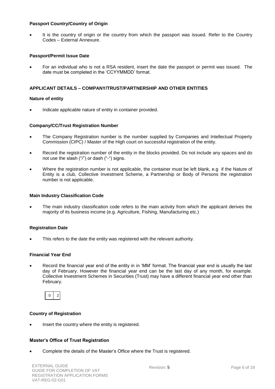#### **Passport Country/Country of Origin**

 It is the country of origin or the country from which the passport was issued. Refer to the Country Codes – External Annexure.

### **Passport/Permit Issue Date**

 For an individual who is not a RSA resident, insert the date the passport or permit was issued. The date must be completed in the 'CCYYMMDD' format.

### **APPLICANT DETAILS – COMPANY/TRUST/PARTNERSHIP AND OTHER ENTITIES**

#### **Nature of entity**

Indicate applicable nature of entity in container provided.

#### **Company/CC/Trust Registration Number**

- The Company Registration number is the number supplied by Companies and Intellectual Property Commission (CIPC) / Master of the High court on successful registration of the entity.
- Record the registration number of the entity in the blocks provided. Do not include any spaces and do not use the slash ("/") or dash ("-") signs.
- Where the registration number is not applicable, the container must be left blank, e.g if the Nature of Entity is a club, Collective Investment Scheme, a Partnership or Body of Persons the registration number is not applicable.

#### **Main Industry Classification Code**

 The main industry classification code refers to the main activity from which the applicant derives the majority of its business income (e.g. Agriculture, Fishing, Manufacturing etc.)

#### **Registration Date**

This refers to the date the entity was registered with the relevant authority.

#### **Financial Year End**

 Record the financial year end of the entity in in 'MM' format. The financial year end is usually the last day of February. However the financial year end can be the last day of any month, for example. Collective Investment Schemes in Securities (Trust) may have a different financial year end other than February.



#### **Country of Registration**

Insert the country where the entity is registered.

#### **Master's Office of Trust Registration**

Complete the details of the Master's Office where the Trust is registered.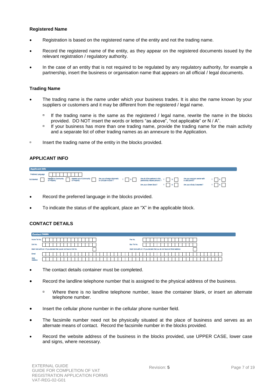#### **Registered Name**

- Registration is based on the registered name of the entity and not the trading name.
- Record the registered name of the entity, as they appear on the registered documents issued by the relevant registration / regulatory authority.
- In the case of an entity that is not required to be regulated by any regulatory authority, for example a partnership, insert the business or organisation name that appears on all official / legal documents.

#### **Trading Name**

- The trading name is the name under which your business trades. It is also the name known by your suppliers or customers and it may be different from the registered / legal name.
	- $\Box$  If the trading name is the same as the registered / legal name, rewrite the name in the blocks provided. DO NOT insert the words or letters "as above", "not applicable" or N / A".
	- <sup>n</sup> If your business has more than one trading name, provide the trading name for the main activity and a separate list of other trading names as an annexure to the Application.
- $\overline{a}$  Insert the trading name of the entity in the blocks provided.

#### **APPLICANT INFO**

| <b>Applicant Info</b>            |                                                                                                                                                                                                                               |  |                                                            |  |
|----------------------------------|-------------------------------------------------------------------------------------------------------------------------------------------------------------------------------------------------------------------------------|--|------------------------------------------------------------|--|
| Preferred Language New York 1999 |                                                                                                                                                                                                                               |  |                                                            |  |
|                                  | Not Moment Mann developmenthy Mannies out Community Are you streeting discussion of the patrior of this y are under the formulation of the said of the patrick and the patrick of the said permit. The said permit of the sai |  |                                                            |  |
|                                  |                                                                                                                                                                                                                               |  | Are you a Share Block? Y N Are you a Body Corporate? Y N N |  |

- Record the preferred language in the blocks provided.
- To indicate the status of the applicant, place an "X" in the applicable block.

#### **CONTACT DETAILS**

| <b>Contact Details</b> |                                                                    |                                                                          |
|------------------------|--------------------------------------------------------------------|--------------------------------------------------------------------------|
| Home Tel No.           | Fax No.                                                            |                                                                          |
| Cell No.               |                                                                    | Bus Tel No.                                                              |
|                        | Mark here with an X if you declare that you do not have a Cell No. | Mark here with an X if you declare that you do not have an Email address |
| Email                  |                                                                    |                                                                          |
| Web<br><b>Address</b>  |                                                                    |                                                                          |

- The contact details container must be completed.
- Record the landline telephone number that is assigned to the physical address of the business.
	- <sup>n</sup> Where there is no landline telephone number, leave the container blank, or insert an alternate telephone number.
- Insert the cellular phone number in the cellular phone number field.
- The facsimile number need not be physically situated at the place of business and serves as an alternate means of contact. Record the facsimile number in the blocks provided.
- Record the website address of the business in the blocks provided, use UPPER CASE, lower case and signs, where necessary.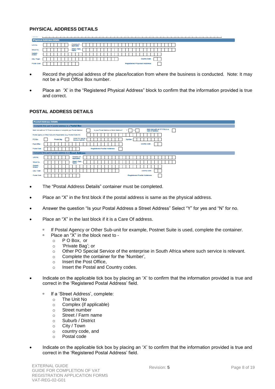### **PHYSICAL ADDRESS DETAILS**

|                      | <b>Physical Address Details</b> |                            |                             |  |
|----------------------|---------------------------------|----------------------------|-----------------------------|--|
| Unit No.             |                                 | Complex (If<br>applicable) |                             |  |
| Street No.           |                                 | Street / Farm<br>Name      |                             |  |
| Suburb /<br>District |                                 |                            |                             |  |
| City / Town          |                                 |                            | Country Code                |  |
| Postal Code          |                                 |                            | Registered Physical Address |  |

- Record the physcial address of the place/location from where the business is conducted. Note: It may not be a Post Office Box number.
- Place an 'X' in the "Registered Physical Address" block to confirm that the information provided is true and correct.

### **POSTAL ADDRESS DETAILS**

| <b>Postal Address Details</b>                                                                                                                                                    |
|----------------------------------------------------------------------------------------------------------------------------------------------------------------------------------|
| Complete this part if postal address is a Postal Box                                                                                                                             |
| Mark here with an "X" if this is a<br>Is your Postal Address a Street Address?<br>Mark here with an FXP if same as above or complete your Postal Address<br>N<br>Care Of address |
| Postal Agency or Other Sub-unit (if applicable) (e.g. Postnet Suite ID)                                                                                                          |
| Other PO Special<br><b>Private Bag</b><br>PO Box<br><b>Number</b><br>Service (specify)                                                                                           |
| Country Code<br>Post Office                                                                                                                                                      |
| <b>Registered Postal Address</b><br>Postal Code                                                                                                                                  |
| Complete this part if postal address is a Street Address                                                                                                                         |
| Complex (If<br>Unit No.<br>applicable)                                                                                                                                           |
| Street / Farm<br>Street No.<br>Name                                                                                                                                              |
| Suburb /<br><b>District</b>                                                                                                                                                      |
| Country Code<br>City / Town                                                                                                                                                      |
| <b>Postal Code</b><br><b>Registered Postal Address</b>                                                                                                                           |

- The "Postal Address Details" container must be completed.
- Place an "X" in the first block if the postal address is same as the physical address.
- Answer the question "Is your Postal Address a Street Address" Select "Y" for yes and "N" for no.
- Place an "X" in the last block if it is a Care Of address.
	- If Postal Agency or Other Sub-unit for example, Postnet Suite is used, complete the container.<br>Place an "X" in the block next to -
		- Place an "X" in the block next to
			- o P O Box, or
			- o 'Private Bag'; or
			- o Other PO Special Service of the enterprise in South Africa where such service is relevant.
			- o Complete the container for the 'Number',
			- o Insert the Post Office,
			- o Insert the Postal and Country codes.
- Indicate on the applicable tick box by placing an 'X' to confirm that the information provided is true and correct in the 'Registered Postal Address' field.
	- □ If a 'Street Address', complete:
		- o The Unit No
		- o Complex (if applicable)
		- o Street number
		- o Street / Farm name
		- o Suburb / District
		- o City / Town
		- o country code, and
		- o Postal code
- Indicate on the applicable tick box by placing an 'X' to confirm that the information provided is true and correct in the 'Registered Postal Address' field.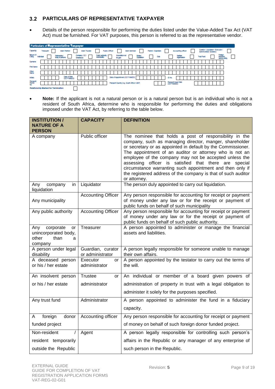# <span id="page-8-0"></span>**PARTICULARS OF REPRESENTATIVE TAXPAYER**

 Details of the person responsible for performing the duties listed under the Value-Added Tax Act (VAT Act) must be furnished. For VAT purposes, this person is referred to as the representative vendor.

| <b>Particulars of Representative Taxpayer</b> |  |                  |  |               |                 |                             |  |                   |                     |  |  |                                         |                       |  |                             |  |                                            |                              |  |  |                   |  |                                   |         |                    |  |  |                   |  |                                                              |                                         |  |
|-----------------------------------------------|--|------------------|--|---------------|-----------------|-----------------------------|--|-------------------|---------------------|--|--|-----------------------------------------|-----------------------|--|-----------------------------|--|--------------------------------------------|------------------------------|--|--|-------------------|--|-----------------------------------|---------|--------------------|--|--|-------------------|--|--------------------------------------------------------------|-----------------------------------------|--|
| Capacity.                                     |  | <b>Treasurer</b> |  |               |                 | Main Partner                |  |                   | <b>Main Trustee</b> |  |  |                                         | <b>Public Officer</b> |  |                             |  | <b>Main Member</b>                         |                              |  |  | Parent / Guardian |  |                                   |         | Accounting officer |  |  |                   |  | Curator / Liquidator / Executor /<br>Administrator (Estates) |                                         |  |
| Nature Of<br>Entity<br><b>Individual</b>      |  |                  |  | Partnership i | Body of persons |                             |  | <b>Shareblock</b> | Company / CC/       |  |  | Public authority<br><b>Municipality</b> |                       |  | Association not<br>for coin |  |                                            | <b>Estate</b><br>Liquidation |  |  | Club              |  |                                   | Weifare | organization       |  |  | <b>Third Fund</b> |  |                                                              | Foreign<br>electronic<br>service entity |  |
| Sumame                                        |  |                  |  |               |                 |                             |  |                   |                     |  |  |                                         |                       |  |                             |  |                                            |                              |  |  |                   |  |                                   |         |                    |  |  |                   |  |                                                              |                                         |  |
| <b>First Name</b>                             |  |                  |  |               |                 |                             |  |                   |                     |  |  |                                         |                       |  |                             |  |                                            |                              |  |  |                   |  |                                   |         |                    |  |  |                   |  |                                                              |                                         |  |
| Other<br>Name                                 |  |                  |  |               |                 |                             |  |                   |                     |  |  |                                         |                       |  |                             |  |                                            |                              |  |  |                   |  |                                   |         |                    |  |  |                   |  |                                                              |                                         |  |
| <b>Initials</b>                               |  |                  |  |               |                 | Date of Birth<br>(CCYYMMDD) |  |                   |                     |  |  |                                         |                       |  |                             |  | Date of Appointment (CCYY/MMDD)            |                              |  |  |                   |  | ID No.                            |         |                    |  |  |                   |  |                                                              |                                         |  |
| Passport<br>Permit<br>No                      |  |                  |  |               |                 |                             |  |                   |                     |  |  |                                         |                       |  |                             |  | Passport Country (e.g. South Africa = ZAF) |                              |  |  |                   |  | Passport Issue Date<br>(CCYYMMDD) |         |                    |  |  |                   |  |                                                              |                                         |  |
| Relationship Marked for Termination           |  |                  |  |               |                 |                             |  |                   |                     |  |  |                                         |                       |  |                             |  |                                            |                              |  |  |                   |  |                                   |         |                    |  |  |                   |  |                                                              |                                         |  |

 **Note:** If the applicant is not a natural person or is a natural person but is an individual who is not a resident of South Africa, determine who is responsible for performing the duties and obligations imposed under the VAT Act, by referring to the table below.

| <b>INSTITUTION /</b><br><b>NATURE OF A</b>                                      | <b>CAPACITY</b>                       | <b>DEFINITION</b>                                                                                                                                                                                                                                                                                                                                                                                                                                                                                             |
|---------------------------------------------------------------------------------|---------------------------------------|---------------------------------------------------------------------------------------------------------------------------------------------------------------------------------------------------------------------------------------------------------------------------------------------------------------------------------------------------------------------------------------------------------------------------------------------------------------------------------------------------------------|
| <b>PERSON</b>                                                                   |                                       |                                                                                                                                                                                                                                                                                                                                                                                                                                                                                                               |
| A company                                                                       | Public officer                        | The nominee that holds a post of responsibility in the<br>company, such as managing director, manger, shareholder<br>or secretary or as appointed in default by the Commissioner.<br>The appointment of an auditor or attorney who is not an<br>employee of the company may not be accepted unless the<br>assessing officer is satisfied that there are special<br>circumstance warranting such appointment and then only if<br>the registered address of the company is that of such auditor<br>or attorney. |
| in<br>Any<br>company<br>liquidation                                             | Liquidator                            | The person duly appointed to carry out liquidation.                                                                                                                                                                                                                                                                                                                                                                                                                                                           |
| Any municipality                                                                | <b>Accounting Officer</b>             | Any person responsible for accounting for receipt or payment<br>of money under any law or for the receipt or payment of<br>public funds on behalf of such municipality                                                                                                                                                                                                                                                                                                                                        |
| Any public authority                                                            | <b>Accounting Officer</b>             | Any person responsible for accounting for receipt or payment<br>of money under any law or for the receipt or payment of<br>public funds on behalf of such public authority.                                                                                                                                                                                                                                                                                                                                   |
| corporate<br>Any<br>or<br>unincorporated body,<br>other<br>than<br>a<br>company | Treasurer                             | A person appointed to administer or manage the financial<br>assets and liabilities.                                                                                                                                                                                                                                                                                                                                                                                                                           |
| A person under legal<br>disability                                              | Guardian, curator<br>or administrator | A person legally responsible for someone unable to manage<br>their own affairs.                                                                                                                                                                                                                                                                                                                                                                                                                               |
| A deceased person<br>or his / her estate                                        | Executor<br>or<br>administrator       | A person appointed by the testator to carry out the terms of<br>the will.                                                                                                                                                                                                                                                                                                                                                                                                                                     |
| An insolvent person                                                             | <b>Trustee</b><br>or                  | An individual or member of a board given powers of                                                                                                                                                                                                                                                                                                                                                                                                                                                            |
| or his / her estate                                                             | administrator                         | administration of property in trust with a legal obligation to                                                                                                                                                                                                                                                                                                                                                                                                                                                |
|                                                                                 |                                       | administer it solely for the purposes specified.                                                                                                                                                                                                                                                                                                                                                                                                                                                              |
| Any trust fund                                                                  | Administrator                         | A person appointed to administer the fund in a fiduciary                                                                                                                                                                                                                                                                                                                                                                                                                                                      |
|                                                                                 |                                       | capacity.                                                                                                                                                                                                                                                                                                                                                                                                                                                                                                     |
| foreign<br>donor<br>A                                                           | Accounting officer                    | Any person responsible for accounting for receipt or payment                                                                                                                                                                                                                                                                                                                                                                                                                                                  |
| funded project                                                                  |                                       | of money on behalf of such foreign donor funded project.                                                                                                                                                                                                                                                                                                                                                                                                                                                      |
| Non-resident                                                                    | Agent                                 | A person legally responsible for controlling such person's                                                                                                                                                                                                                                                                                                                                                                                                                                                    |
| resident temporarily                                                            |                                       | affairs in the Republic or any manager of any enterprise of                                                                                                                                                                                                                                                                                                                                                                                                                                                   |
| outside the Republic                                                            |                                       | such person in the Republic.                                                                                                                                                                                                                                                                                                                                                                                                                                                                                  |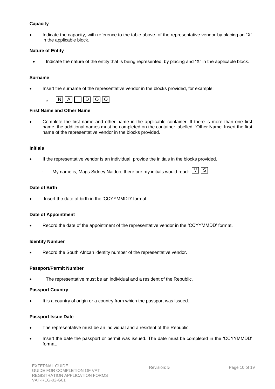### **Capacity**

 Indicate the capacity, with reference to the table above, of the representative vendor by placing an "X" in the applicable block.

### **Nature of Entity**

• Indicate the nature of the entity that is being represented, by placing and "X" in the applicable block.

### **Surname**

Insert the surname of the representative vendor in the blocks provided, for example:

| г |  |  |  |
|---|--|--|--|
|   |  |  |  |

# **First Name and Other Name**

 Complete the first name and other name in the applicable container. If there is more than one first name, the additional names must be completed on the container labelled 'Other Name' Insert the first name of the representative vendor in the blocks provided.

#### **Initials**

- If the representative vendor is an individual, provide the initials in the blocks provided.
	- □ My name is, Mags Sidney Naidoo, therefore my initials would read:  $\lfloor M \rfloor$  S

### **Date of Birth**

Insert the date of birth in the 'CCYYMMDD' format.

### **Date of Appointment**

Record the date of the appointment of the representative vendor in the 'CCYYMMDD' format.

#### **Identity Number**

Record the South African identity number of the representative vendor.

#### **Passport/Permit Number**

The representative must be an individual and a resident of the Republic.

#### **Passport Country**

It is a country of origin or a country from which the passport was issued.

#### **Passport Issue Date**

- The representative must be an individual and a resident of the Republic.
- Insert the date the passport or permit was issued. The date must be completed in the 'CCYYMMDD' format.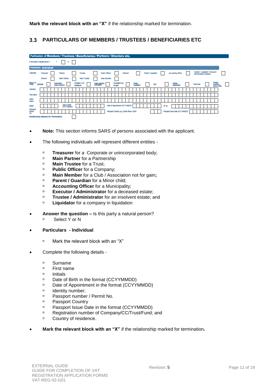#### <span id="page-10-0"></span> $3.3$ **PARTICULARS OF MEMBERS / TRUSTEES / BENEFICIARIES ETC**

| Particulars of Members / Trustees / Beneficiaries / Partners / Directors etc. |            |                              |  |             |                 |                     |                             |            |               |                     |                    |                                             |                                            |                             |        |  |                        |  |                   |  |                                |                         |  |                   |  |                         |                                 |                                         |  |
|-------------------------------------------------------------------------------|------------|------------------------------|--|-------------|-----------------|---------------------|-----------------------------|------------|---------------|---------------------|--------------------|---------------------------------------------|--------------------------------------------|-----------------------------|--------|--|------------------------|--|-------------------|--|--------------------------------|-------------------------|--|-------------------|--|-------------------------|---------------------------------|-----------------------------------------|--|
| Is this party a natural person ?                                              |            |                              |  | v           |                 |                     | N                           |            |               |                     |                    |                                             |                                            |                             |        |  |                        |  |                   |  |                                |                         |  |                   |  |                         |                                 |                                         |  |
| <b>Particulars - Individual</b>                                               |            |                              |  |             |                 |                     |                             |            |               |                     |                    |                                             |                                            |                             |        |  |                        |  |                   |  |                                |                         |  |                   |  |                         |                                 |                                         |  |
| Capacity:                                                                     |            | Treasurer<br><b>Director</b> |  |             | Partner         | <b>Main Partner</b> |                             |            | Trustee       | <b>Main Trustee</b> |                    | <b>Public Officer</b><br><b>Main Member</b> |                                            |                             | Member |  |                        |  | Parent / Guardian |  |                                | Accounting officer      |  |                   |  | Administrator (Estates) | Curetor / Liquidator / Executor |                                         |  |
| <b>Mature Of</b>                                                              | Individual |                              |  | Partnership | Body of persons |                     |                             | Shareblock | Company / CC/ |                     | Public suffronty / |                                             |                                            | Association not<br>for gain |        |  | Estate /<br>Uguidation |  | Cub               |  |                                | Welfare<br>organization |  | <b>Trust Fund</b> |  |                         |                                 | Foreign<br>electronic<br>service entity |  |
| Sumarne                                                                       |            |                              |  |             |                 |                     |                             |            |               |                     |                    |                                             |                                            |                             |        |  |                        |  |                   |  |                                |                         |  |                   |  |                         |                                 |                                         |  |
| <b>First Name</b>                                                             |            |                              |  |             |                 |                     |                             |            |               |                     |                    |                                             |                                            |                             |        |  |                        |  |                   |  |                                |                         |  |                   |  |                         |                                 |                                         |  |
| Other<br>Name                                                                 |            |                              |  |             |                 |                     |                             |            |               |                     |                    |                                             |                                            |                             |        |  |                        |  |                   |  |                                |                         |  |                   |  |                         |                                 |                                         |  |
| Initials                                                                      |            |                              |  |             |                 |                     | Date of Birth<br>(CCYYMMDD) |            |               |                     |                    |                                             | Date of Appointment (CCYY/MMDD)            |                             |        |  |                        |  |                   |  | ID No.                         |                         |  |                   |  |                         |                                 |                                         |  |
| Passport<br>Permit<br>No.                                                     |            |                              |  |             |                 |                     |                             |            |               |                     |                    |                                             | Passport Country (e.g. South Africa = ZAF) |                             |        |  |                        |  |                   |  | Passport Issue Date (CCYYMMDD) |                         |  |                   |  |                         |                                 |                                         |  |
| Relationship Marked for Termination                                           |            |                              |  |             |                 |                     |                             |            |               |                     |                    |                                             |                                            |                             |        |  |                        |  |                   |  |                                |                         |  |                   |  |                         |                                 |                                         |  |

- **Note:** This section informs SARS of persons associated with the applicant.
- The following individuals will represent different entities
	- **Treasurer** for a Corporate or unincorporated body;
	- **Main Partner** for a Partnership<br>**Main Trustee** for a Trust:
	- **Main Trustee** for a Trust;<br>**Dublic Officer** for a Comu
	- **Public Officer** for a Company;
	- **Main Member** for a Club / Association not for gain;<br>■ **Parent / Guardian** for a Minor child:
	- **Parent / Guardian** for a Minor child;<br>**Paragounting Officer** for a Municipali
	- **Accounting Officer** for a Municipality;
	- **Executor / Administrator** for a deceased estate;
	- **Trustee / Administrator** for an insolvent estate; and<br>**Liquidator** for a company in liquidation
	- **Liquidator** for a company in liquidation
- **Answer the question –** Is this party a natural person? Select Y or N
- **Particulars - Individual**
	- □ Mark the relevant block with an "X"
- Complete the following details
	- Surname
	- First name
	- <sup>D</sup> Initials
	- □ Date of Birth in the format (CCYYMMDD)
	- □ Date of Appointment in the format (CCYYMMDD)
	- $\Box$ Identity number;
	- □ Passport number / Permit No.
	- <sup>D</sup> Passport Country
	- **Passport Issue Date in the format (CCYYMMDD)**
	- □ Registration number of Company/CC/Trust/Fund; and
	- <sup>D</sup> Country of residence.
- **Mark the relevant block with an "X"** if the relationship marked for termination**.**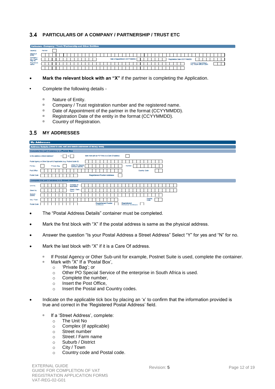### <span id="page-11-0"></span>**PARTICULARS OF A COMPANY / PARTNERSHIP / TRUST ETC**

| Particulars - Company / Trust / Partnership and Other Entities |         |  |  |  |  |  |  |  |  |  |  |                                |  |  |  |  |  |                              |  |  |  |  |                                                      |  |  |  |
|----------------------------------------------------------------|---------|--|--|--|--|--|--|--|--|--|--|--------------------------------|--|--|--|--|--|------------------------------|--|--|--|--|------------------------------------------------------|--|--|--|
| Capacity                                                       | Partner |  |  |  |  |  |  |  |  |  |  |                                |  |  |  |  |  |                              |  |  |  |  |                                                      |  |  |  |
| Nature of<br>Entity                                            |         |  |  |  |  |  |  |  |  |  |  |                                |  |  |  |  |  |                              |  |  |  |  |                                                      |  |  |  |
| Company<br>CC / Trust<br>Reg No.                               |         |  |  |  |  |  |  |  |  |  |  | Date of Appointment (CCYYMMDD) |  |  |  |  |  | Registration Date (CCYYMMDD) |  |  |  |  |                                                      |  |  |  |
| Registered<br>Name                                             |         |  |  |  |  |  |  |  |  |  |  |                                |  |  |  |  |  |                              |  |  |  |  | Country of Registration<br>(e.g. South Africa = ZAF) |  |  |  |
|                                                                |         |  |  |  |  |  |  |  |  |  |  |                                |  |  |  |  |  |                              |  |  |  |  |                                                      |  |  |  |

- **Mark the relevant block with an "X"** if the partner is completing the Application.
- **•** Complete the following details
	- D Nature of Entity.
	- <sup>n</sup> Company / Trust registration number and the registered name.<br>R. Pate of Appeintment of the partner in the format (CCYYMMDD)
	- Date of Appointment of the partner in the format (CCYYMMDD).<br>Registration Date of the entity in the format (CCYYMMDD)
	- Registration Date of the entity in the format (CCYYMMDD).
	- Country of Registration.

### <span id="page-11-1"></span>**MY ADDRESSES**

| <b>My Addresses</b>                                                                                       |
|-----------------------------------------------------------------------------------------------------------|
| Address Details (Used to add, edit and delete addresses at library level)                                 |
| Complete this part if address is a Postal Box                                                             |
| Mark here with an FXP if this is a Care Of address.<br>Is this address a Street Address?<br>N             |
| Postal Agency or Other Sub-unit (If applicable) (e.g. Postnet Suite ID)                                   |
| Other PO Special<br>Number<br>PO Box<br><b>Private Bag</b><br>Service (spectiv)                           |
| Country Code<br>Post Office                                                                               |
| <b>Registered Postal Address</b><br>Postal Code                                                           |
| Complete this part if address is a Street Address                                                         |
| Complex (ff<br>Unit No.<br>applicable)                                                                    |
| Street / Farm<br>Street No.<br>Name                                                                       |
| Suburb /<br>District                                                                                      |
| Country<br>City / Town<br>Code                                                                            |
| <b>Registered Postal</b><br>Registered<br><b>Postal Code</b><br><b>Physical Address</b><br><b>Address</b> |

- The "Postal Address Details" container must be completed.
- Mark the first block with "X" if the postal address is same as the physical address.
- Answer the question "Is your Postal Address a Street Address" Select "Y" for yes and "N" for no.
- Mark the last block with "X" if it is a Care Of address.
	- <sup>1</sup> If Postal Agency or Other Sub-unit for example, Postnet Suite is used, complete the container.
	- □ Mark with "X" If a 'Postal Box',
		- o 'Private Bag'; or
		- o Other PO Special Service of the enterprise in South Africa is used.
		- o Complete the number,
		- o Insert the Post Office,
		- o Insert the Postal and Country codes.
- Indicate on the applicable tick box by placing an 'x' to confirm that the information provided is true and correct in the 'Registered Postal Address' field.
	- □ If a 'Street Address', complete:
		- o The Unit No
		- o Complex (if applicable)
		- o Street number
		- o Street / Farm name
		- o Suburb / District
		- o City / Town
		- o Country code and Postal code.

**The Co**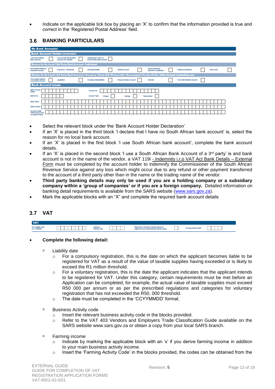Indicate on the applicable tick box by placing an 'X' to confirm that the information provided is true and correct in the 'Registered Postal Address' field.

#### <span id="page-12-0"></span> $3.6$ **BANKING PARTICULARS**

| <b>My Bank Accounts</b>                                                                                                                                                                                             |
|---------------------------------------------------------------------------------------------------------------------------------------------------------------------------------------------------------------------|
| <b>Bank Account Holder Declaration</b>                                                                                                                                                                              |
| I use South African<br><b>I use a South African Bank</b><br>I declare that I have no<br>Account of a 3rd party<br>South African bank account<br>bank accounts                                                       |
| <b>Reason for No Local / 3rd Party Rank Account-Individual</b>                                                                                                                                                      |
| Non-resident without a<br>Income below tax<br>Insolvency / Curatorship<br><b>Shared Account</b><br>Statutory restrictions<br><b>Deceased Estate</b><br>Minor child<br>threshold / Impractical<br>local bank account |
| Reason for No Local / 3rd Party Bank Account-Company / Trust / CC / Partnership / Government / Foreign Entity / Other Exempt Institutions etc.                                                                      |
| Non-resident without<br><b>Group Company Account</b><br>Liquidation<br>Company Deregistration<br><b>Trust Administrator Account</b><br><b>Dormant</b><br>a local bank account                                       |
| <b>Bank Account Details</b>                                                                                                                                                                                         |
| <b>Bank Account</b><br>Account No.<br>Status                                                                                                                                                                        |
| Account Type:<br>Brench No.<br>Cheque<br>Savings<br>Trensmission                                                                                                                                                    |
| <b>Bank Name</b>                                                                                                                                                                                                    |
| <b>Brench Name</b>                                                                                                                                                                                                  |
| <b>Account Holder</b><br>Name (Account name)<br>no recistored at here's                                                                                                                                             |

- Select the relevant block under the 'Bank Account Holder Declaration'
- If an 'X' is placed in the third block 'I declare that I have no South African bank account' is, select the reason for no local bank account.
- If an 'X' is placed in the first block 'I use South African bank account', complete the bank account details.
- If an 'X' is placed in the second block 'I use a South African Bank Account of a 3<sup>rd</sup> party' is and bank account is not in the name of the vendor, a VAT 119i - Indemnity i.r.o [VAT Act Bank Details](http://www.sars.gov.za/AllDocs/OpsDocs/SARSForms/VAT119i%20-%20Indemnity%20iro%20VAT%20Act%20Bank%20Details%20-%20External%20Form.pdf) - External [Form](http://www.sars.gov.za/AllDocs/OpsDocs/SARSForms/VAT119i%20-%20Indemnity%20iro%20VAT%20Act%20Bank%20Details%20-%20External%20Form.pdf) must be completed by the account holder to indemnify the Commissioner of the South African Revenue Service against any loss which might occur due to any refund or other payment transferred to the account of a third party other than in the name or the trading name of the vendor.
- **Third party banking details may only be used if you are a holding company or a subsidiary company within a 'group of companies' or if you are a foreign company.** Detailed information on banking detail requirements is available from the SARS website [\(www.sars.gov.za\)](http://www.sars.gov.za/).
- Mark the applicable blocks with an "X" and complete the required bank account details

# <span id="page-12-1"></span>**VAT**



#### **Complete the following detail:**

- □ Liability date
	- $\circ$  For a compulsory registration, this is the date on which the applicant becomes liable to be registered for VAT as a result of the value of taxable supplies having exceeded or is likely to exceed the R1 million threshold.
	- $\circ$  For a voluntary registration, this is the date the applicant indicates that the applicant intends to be registered for VAT. Under this category, certain requirements must be met before an Application can be completed, for example, the actual value of taxable supplies must exceed R50 000 per annum or as per the prescribed regulations and categories for voluntary registration that has not exceeded the R50, 000 threshold.
	- o The date must be completed in the 'CCYYMMDD' format.
- □ Business Activity code
	- o Insert the relevant business activity code in the blocks provided.
	- o Refer to the VAT 403 Vendors and Employers Trade Classification Guide available on the SARS website www.sars.gov.za or obtain a copy from your local SARS branch.
- Farming income
	- Indicate by marking the applicable block with an 'x' if you derive farming income in addition to your main business activity income.
	- $\circ$  Insert the 'Farming Activity Code' in the blocks provided, the codes can be obtained from the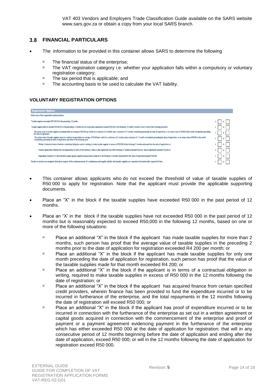VAT 403 Vendors and Employers Trade Classification Guide available on the SARS website [www.sars.gov.za](http://www.sars.gov.za/) or obtain a copy from your local SARS branch.

#### <span id="page-13-0"></span> $3.8$ **FINANCIAL PARTICULARS**

- The information to be provided in this container allows SARS to determine the following
	- □ The financial status of the enterprise;
	- □ The VAT registration category i.e. whether your application falls within a compulsory or voluntary registration category;
	- The tax period that is applicable; and<br>The accounting basis to be used to co
	- The accounting basis to be used to calculate the VAT liability.

### **VOLUNTARY REGISTRATION OPTIONS**

| <b>Registration Options</b>                                                                                                                                                                                                                                                                                         |         |
|---------------------------------------------------------------------------------------------------------------------------------------------------------------------------------------------------------------------------------------------------------------------------------------------------------------------|---------|
| Select one of the registration options below.                                                                                                                                                                                                                                                                       |         |
| Taxable supplies exceeded R50 000,00 in the preceding 12 months                                                                                                                                                                                                                                                     | N       |
| Taxable supplies did not expeed R50 000.00 in the preceding 12 months but are reasonably expected to expeed R50,000 in the following 12 months, based on one or more of the following situations:                                                                                                                   | N       |
| The actual value of taxable supplies exceeded either an average of R4.200 per month for a minimum of 2 months and a maximum of 11 months immediately preceding the date of registration, or an actual value of R4200 in the mo<br>the date of registration                                                          | v.<br>N |
| The actual value of taxable sugglies were nil or did not exceed ether an average of R4.200 per month for a minimum of 2 months and a maximum of 11 months immediately preceding the date of registration, or an actual value o<br>immediately preceding the date of registration, but either of the following exist | Y.<br>N |
| Written Contracts in terms of which a contractual obligation exists in writing, to make taxable supplies in excess of R50,000 in the following 12 months reckoned from the date of registration; or                                                                                                                 | N<br>Y. |
| Finance Agreements wherein the total regarments in terms of that financial, credit or other agreement will in the following 12 months reckoned from the date of registration exceed R 50,000 or                                                                                                                     | N       |
| Expenditure incurred or to be incurred or capital goods acquired and payments made will in the following 12 months reckoned from the date of registrationexceed R 50,000                                                                                                                                            | N       |
| Goods or services are acquired directly in respect of the commencement of a continuous and regular activity and taxable supplies are expected to be made after a period of time                                                                                                                                     | N       |

- This container allows applicants who do not exceed the threshold of value of taxable supplies of R50 000 to apply for registration. Note that the applicant must provide the applicable supporting documents.
- Place an "X" in the block if the taxable supplies have exceeded R50 000 in the past period of 12 months.
- Place an "X' in the block if the taxable supplies have not exceeded R50 000 in the past period of 12 months but is reasonably expected to exceed R50,000 in the following 12 months, based on one or more of the following situations:
	- Place an additional "X" in the block if the applicant has made taxable supplies for more than 2 months, such person has proof that the average value of taxable supplies in the preceding 2 months prior to the date of application for registration exceeded R4 200 per month; or
	- **Place an additional "X" in the block if the applicant has made taxable supplies for only one** month preceding the date of application for registration, such person has proof that the value of the taxable supplies made for that month exceeded R4 200; or
	- **Place an additional "X" in the block if the applicant is in terms of a contractual obligation in** writing, required to make taxable supplies in excess of R50 000 in the 12 months following the date of registration; or
	- **Place an additional "X" in the block if the applicant has acquired finance from certain specified** credit providers, wherein finance has been provided to fund the expenditure incurred or to be incurred in furtherance of the enterprise, and the total repayments in the 12 months following the date of registration will exceed R50 000; or
	- Place an additional "X" in the block if the applicant has proof of expenditure incurred or to be incurred in connection with the furtherance of the enterprise as set out in a written agreement or capital goods acquired in connection with the commencement of the enterprise and proof of payment or a payment agreement evidencing payment in the furtherance of the enterprise which has either exceeded R50 000 at the date of application for registration; that will in any consecutive period of 12 months beginning before the date of application and ending after the date of application, exceed R50 000; or will in the 12 months following the date of application for registration exceed R50 000.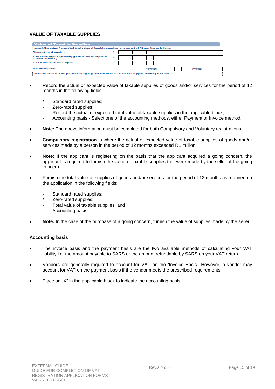### **VALUE OF TAXABLE SUPPLIES**

| <b>Value of Taxable Supplies</b>                                                                        |   |  |  |  |  |  |  |  |  |  |  |  |
|---------------------------------------------------------------------------------------------------------|---|--|--|--|--|--|--|--|--|--|--|--|
| Furnish the actual / expected total value of taxable supplies for a period of 12 months as follows:     |   |  |  |  |  |  |  |  |  |  |  |  |
| Standard rated supplies                                                                                 | R |  |  |  |  |  |  |  |  |  |  |  |
| Zero-rated supplies (including goods /services exported<br>to other countries)                          |   |  |  |  |  |  |  |  |  |  |  |  |
| Total value of taxable supplies                                                                         |   |  |  |  |  |  |  |  |  |  |  |  |
| Accounting basis:<br>Invoice<br>Payment                                                                 |   |  |  |  |  |  |  |  |  |  |  |  |
| Note: In the case of the purchase of a going concern, furnish the value of supplies made by the seller. |   |  |  |  |  |  |  |  |  |  |  |  |

- Record the actual or expected value of taxable supplies of goods and/or services for the period of 12 months in the following fields:
	- <sup>o</sup> Standard rated supplies;<br><sup>o</sup> Zero-rated supplies:
	- Zero-rated supplies;
	- **Record the actual or expected total value of taxable supplies in the applicable block;**
	- Accounting basis Select one of the accounting methods, either Payment or Invoice method.
- **Note:** The above information must be completed for both Compulsory and Voluntary registrations**.**
- **Compulsory registration** is where the actual or expected value of taxable supplies of goods and/or services made by a person in the period of 12 months exceeded R1 million.
- **Note:** If the applicant is registering on the basis that the applicant acquired a going concern, the applicant is required to furnish the value of taxable supplies that were made by the seller of the going concern.
- Furnish the total value of supplies of goods and/or services for the period of 12 months as required on the application in the following fields:
	- **B** Standard rated supplies;
	- **zero-rated supplies;**<br> **Total value of taxable**
	- <sup>p</sup> Total value of taxable supplies; and<br>**P** Accounting basis
	- Accounting basis.
- **Note:** In the case of the purchase of a going concern, furnish the value of supplies made by the seller.

#### **Accounting basis**

- The invoice basis and the payment basis are the two available methods of calculating your VAT liability i.e. the amount payable to SARS or the amount refundable by SARS on your VAT return.
- Vendors are generally required to account for VAT on the 'Invoice Basis'. However, a vendor may account for VAT on the payment basis if the vendor meets the prescribed requirements.
- Place an "X" in the applicable block to indicate the accounting basis.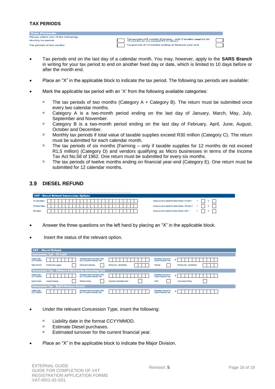# **TAX PERIODS**

| <b>Tax Periods</b>                  |                                                                                                          |  |
|-------------------------------------|----------------------------------------------------------------------------------------------------------|--|
| Please select one of the following: |                                                                                                          |  |
| Monthly tax period                  | Tax periods of 6 months (Farming - only if taxable supplies for<br>12 months do not exceed R1.5 million) |  |
| Tax periods of two months           | Tax periods of 12 months ending on financial year end                                                    |  |

- Tax periods end on the last day of a calendar month. You may, however, apply to the **SARS Branch** in writing for your tax period to end on another fixed day or date, which is limited to 10 days before or after the month end.
- Place an "X" in the applicable block to indicate the tax period. The following tax periods are available:
- Mark the applicable tax period with an 'X' from the following available categories:
	- $\Box$  The tax periods of two months (Category A + Category B). The return must be submitted once every two calendar months.
	- <sup>n</sup> Category A is a two-month period ending on the last day of January, March, May, July, September and November.
	- Category B is a two-month period ending on the last day of February, April, June, August, October and December.
	- □ Monthly tax periods if total value of taxable supplies exceed R30 million (Category C). The return must be submitted for each calendar month.
	- <sup>n</sup> The tax periods of six months (Farming only if taxable supplies for 12 months do not exceed R1,5 million) (Category D) and vendors qualifying as Micro businesses in terms of the Income Tax Act No.58 of 1962. One return must be submitted for every six months.
	- The tax periods of twelve months ending on financial year-end (Category E). One return must be submitted for 12 calendar months.

#### <span id="page-15-0"></span>3.9 **DIESEL REFUND**

|                   | VAT - Diesel Refund Concession Options |                                                             |
|-------------------|----------------------------------------|-------------------------------------------------------------|
| On Land Status:   |                                        | Would you like to register for diesel refunds - On land ?   |
| Off Shore Status: |                                        | Would you like to register for diesel refunds - Off shore ? |
| Rail Status:      |                                        | Would you like to register for diesel refunds - Rail 7      |

- Answer the three questions on the left hand by placing an "X" in the applicable block.
- Insert the status of the relevant option.

|                                     | VAT - Diesel Refund                                                  |                                                                               |                                     |                                                                |                              |
|-------------------------------------|----------------------------------------------------------------------|-------------------------------------------------------------------------------|-------------------------------------|----------------------------------------------------------------|------------------------------|
|                                     | <b>Concession Type - On Land</b>                                     |                                                                               |                                     |                                                                |                              |
| <b>Liability Date</b><br>(CCYYMMDD) |                                                                      | Estimated Diesel Purchases (libes<br>p/a) for Current Financial Year          |                                     | Estimated Tumover for<br><b>Current Financial Year</b>         | R                            |
| <b>Malor Division</b>               | Forestry and Logging                                                 | Mining and Quarrying                                                          | Mining Sub - classification         | Familing                                                       | Farming Sub - classification |
|                                     | <b>Concession Type - Offshore &amp; Electricity Generating Plant</b> |                                                                               |                                     |                                                                |                              |
| <b>Liability Date</b><br>(CCYYMMDD) |                                                                      | <b>Estimated Diesel Purchases (litres)</b><br>p/a) for Current Financial Year |                                     | <b>Estimated Turnover for</b><br><b>Current Financial Year</b> | R                            |
| <b>Major Division</b>               | Coastal Shipping                                                     | Offshore Mining                                                               | <b>Electricity Generating Plant</b> | <b>NSRI</b>                                                    | <b>Commercial Fishing</b>    |
|                                     | <b>Concession Type - Rail &amp; Harbour Services</b>                 |                                                                               |                                     |                                                                |                              |
| <b>Liability Date</b><br>(CCYYMMDD) |                                                                      | <b>Estimated Diesel Purchases (litres)</b><br>pla) for Current Financial Year |                                     | <b>Estimated Tumover for</b><br><b>Current Financial Year</b>  | R                            |

- Under the relevant Concession Type, insert the following:
	- □ Liability date in the format CCYYMMDD.
	- □ Estimate Diesel purchases.
	- **Estimated turnover for the current financial year.**
- Place an "X" in the applicable block to indicate the Major Division.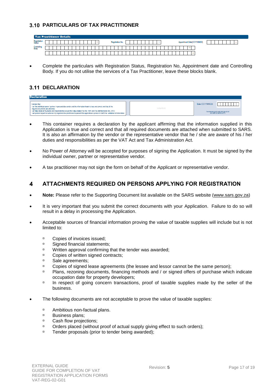# <span id="page-16-0"></span>**PARTICULARS OF TAX PRACTITIONER**

|                        | <b>Tax Practitioner Details</b> |                  |                            |
|------------------------|---------------------------------|------------------|----------------------------|
| Registration<br>Status |                                 | Registration No. | Appointment Date(CCYYMMDD) |
| Controllir<br>Body     |                                 |                  |                            |
|                        |                                 |                  |                            |

 Complete the particulars with Registration Status, Registration No, Appointment date and Controlling Body. If you do not utilise the services of a Tax Practitioner, leave these blocks blank.

# <span id="page-16-1"></span>**3.11 DECLARATION**



- This container requires a declaration by the applicant affirming that the information supplied in this Application is true and correct and that all required documents are attached when submitted to SARS. It is also an affirmation by the vendor or the representative vendor that he / she are aware of his / her duties and responsibilities as per the VAT Act and Tax Administration Act.
- No Power of Attorney will be accepted for purposes of signing the Application. It must be signed by the individual owner, partner or representative vendor.
- A tax practitioner may not sign the form on behalf of the Applicant or representative vendor.

#### <span id="page-16-2"></span>**ATTACHMENTS REQUIRED ON PERSONS APPLYING FOR REGISTRATION**  4

- **Note:** Please refer to the Supporting Document list available on the SARS website [\(www.sars.gov.za\)](http://www.sars.gov.za/)
- It is very important that you submit the correct documents with your Application. Failure to do so will result in a delay in processing the Application.
- Acceptable sources of financial information proving the value of taxable supplies will include but is not limited to:
	- □ Copies of invoices issued;
	- □ Signed financial statements;
	- □ Written approval confirming that the tender was awarded;
	- <sup>n</sup> Copies of written signed contracts;
	- <sup>D</sup> Sale agreements;
	- <sup>n</sup> Copies of signed lease agreements (the lessee and lessor cannot be the same person);
	- Plans, rezoning documents, financing methods and / or signed offers of purchase which indicate occupation date for property developers;
	- <sup>n</sup> In respect of going concern transactions, proof of taxable supplies made by the seller of the business.
- The following documents are not acceptable to prove the value of taxable supplies:
	- □ Ambitious non-factual plans.
	- **Business plans;**<br>**Business plans;**
	- <sup>o</sup> Cash flow projections;
	- Orders placed (without proof of actual supply giving effect to such orders);
	- □ Tender proposals (prior to tender being awarded);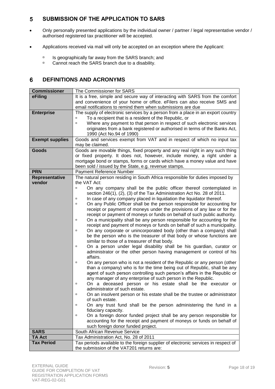#### <span id="page-17-0"></span>5 **SUBMISSION OF THE APPLICATION TO SARS**

- Only personally presented applications by the individual owner / partner / legal representative vendor / authorised registered tax practitioner will be accepted.
- Applications received via mail will only be accepted on an exception where the Applicant:
	- $\overline{P}$  Is geographically far away from the SARS branch; and Cannot reach the SARS branch due to a disability
	- Cannot reach the SARS branch due to a disability.

#### <span id="page-17-1"></span>6 **DEFINITIONS AND ACRONYMS**

| <b>Commissioner</b>      | The Commissioner for SARS                                                                                                                  |  |  |  |  |  |  |
|--------------------------|--------------------------------------------------------------------------------------------------------------------------------------------|--|--|--|--|--|--|
| eFiling                  | It is a free, simple and secure way of interacting with SARS from the comfort                                                              |  |  |  |  |  |  |
|                          | and convenience of your home or office. eFilers can also receive SMS and                                                                   |  |  |  |  |  |  |
|                          | email notifications to remind them when submissions are due                                                                                |  |  |  |  |  |  |
| <b>Enterprise</b>        | The supply of electronic services by a person from a place in an export country                                                            |  |  |  |  |  |  |
|                          | To a recipient that is a resident of the Republic, or                                                                                      |  |  |  |  |  |  |
|                          | Where any payment to that person in respect of such electronic services<br>Ο                                                               |  |  |  |  |  |  |
|                          | originates from a bank registered or authorised in terms of the Banks Act,                                                                 |  |  |  |  |  |  |
|                          | 1990 (Act No.94 of 1990)                                                                                                                   |  |  |  |  |  |  |
| <b>Exempt supplies</b>   | Goods and services exempt from VAT and in respect of which no input tax                                                                    |  |  |  |  |  |  |
|                          | may be claimed.                                                                                                                            |  |  |  |  |  |  |
| Goods                    | Goods are movable things, fixed property and any real right in any such thing                                                              |  |  |  |  |  |  |
|                          | or fixed property. It does not, however, include money, a right under a                                                                    |  |  |  |  |  |  |
|                          | mortgage bond or stamps, forms or cards which have a money value and have                                                                  |  |  |  |  |  |  |
|                          | been sold / issued by the State, e.g. revenue stamps.                                                                                      |  |  |  |  |  |  |
| <b>PRN</b>               | Payment Reference Number                                                                                                                   |  |  |  |  |  |  |
| Representative<br>vendor | The natural person residing in South Africa responsible for duties imposed by<br>the VAT Act:                                              |  |  |  |  |  |  |
|                          | On any company shall be the public officer thereof contemplated in<br>$\Box$                                                               |  |  |  |  |  |  |
|                          | section 246(1), (2), (3) of the Tax Administration Act No. 28 of 2011.                                                                     |  |  |  |  |  |  |
|                          | In case of any company placed in liquidation the liquidator thereof.<br>$\Box$                                                             |  |  |  |  |  |  |
|                          | On any Public Officer shall be the person responsible for accounting for<br>$\Box$                                                         |  |  |  |  |  |  |
|                          | receipt or payment of moneys under the provisions of any law or for the                                                                    |  |  |  |  |  |  |
|                          | receipt or payment of moneys or funds on behalf of such public authority.                                                                  |  |  |  |  |  |  |
|                          | On a municipality shall be any person responsible for accounting for the<br>$\Box$                                                         |  |  |  |  |  |  |
|                          | receipt and payment of moneys or funds on behalf of such a municipality.                                                                   |  |  |  |  |  |  |
|                          | On any corporate or unincorporated body (other than a company) shall<br>$\Box$                                                             |  |  |  |  |  |  |
|                          | be the person who is the treasurer of that body or whose functions are                                                                     |  |  |  |  |  |  |
|                          | similar to those of a treasurer of that body.                                                                                              |  |  |  |  |  |  |
|                          | On a person under legal disability shall be his guardian, curator or<br>$\Box$                                                             |  |  |  |  |  |  |
|                          | administrator or the other person having management or control of his                                                                      |  |  |  |  |  |  |
|                          | affairs.                                                                                                                                   |  |  |  |  |  |  |
|                          | On any person who is not a resident of the Republic or any person (other<br>$\Box$                                                         |  |  |  |  |  |  |
|                          | than a company) who is for the time being out of Republic, shall be any                                                                    |  |  |  |  |  |  |
|                          | agent of such person controlling such person's affairs in the Republic or<br>any manager of any enterprise of such person in the Republic. |  |  |  |  |  |  |
|                          | On a deceased person or his estate shall be the executor or<br>$\Box$                                                                      |  |  |  |  |  |  |
|                          | administrator of such estate.                                                                                                              |  |  |  |  |  |  |
|                          | On an insolvent person or his estate shall be the trustee or administrator<br>Ο                                                            |  |  |  |  |  |  |
|                          | of such estate.                                                                                                                            |  |  |  |  |  |  |
|                          | On any trust fund shall be the person administering the fund in a<br>о                                                                     |  |  |  |  |  |  |
|                          | fiduciary capacity.                                                                                                                        |  |  |  |  |  |  |
|                          | On a foreign donor funded project shall be any person responsible for<br>$\Box$                                                            |  |  |  |  |  |  |
|                          | accounting for the receipt and payment of moneys or funds on behalf of                                                                     |  |  |  |  |  |  |
|                          | such foreign donor funded project.                                                                                                         |  |  |  |  |  |  |
| <b>SARS</b>              | South African Revenue Service                                                                                                              |  |  |  |  |  |  |
| <b>TA Act</b>            | Tax Administration Act, No. 28 of 2011                                                                                                     |  |  |  |  |  |  |
| <b>Tax Period</b>        | Tax periods available to the foreign supplier of electronic services in respect of                                                         |  |  |  |  |  |  |
|                          | the submission of the VAT201 returns are:                                                                                                  |  |  |  |  |  |  |